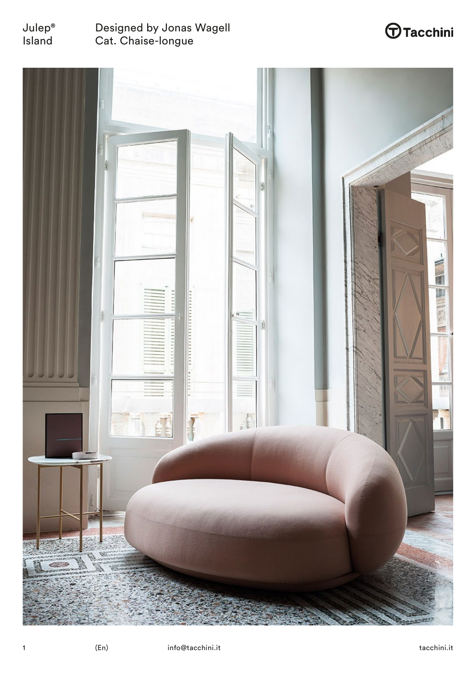

## Designed by Jonas Wagell Cat. Chaise-longue

# $\bigoplus$ Tacchini

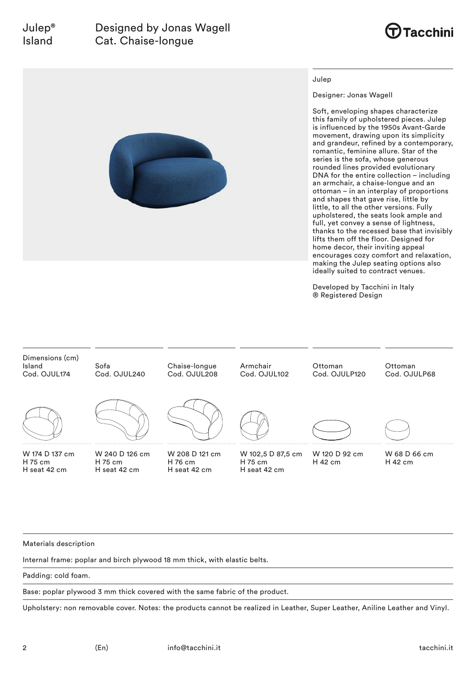## Designed by Jonas Wagell Cat. Chaise-longue





#### Julep

Designer: Jonas Wagell

Soft, enveloping shapes characterize this family of upholstered pieces. Julep is influenced by the 1950s Avant-Garde movement, drawing upon its simplicity and grandeur, refined by a contemporary, romantic, feminine allure. Star of the series is the sofa, whose generous rounded lines provided evolutionary DNA for the entire collection – including an armchair, a chaise-longue and an ottoman – in an interplay of proportions and shapes that gave rise, little by little, to all the other versions. Fully upholstered, the seats look ample and full, yet convey a sense of lightness, thanks to the recessed base that invisibly lifts them off the floor. Designed for home decor, their inviting appeal encourages cozy comfort and relaxation, making the Julep seating options also ideally suited to contract venues.

Developed by Tacchini in Italy ® Registered Design



Materials description

Internal frame: poplar and birch plywood 18 mm thick, with elastic belts.

Padding: cold foam.

Base: poplar plywood 3 mm thick covered with the same fabric of the product.

Upholstery: non removable cover. Notes: the products cannot be realized in Leather, Super Leather, Aniline Leather and Vinyl.